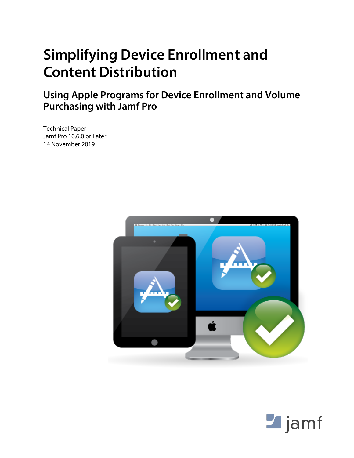# **Simplifying Device Enrollment and Content Distribution**

**Using Apple Programs for Device Enrollment and Volume Purchasing with Jamf Pro**

Technical Paper Jamf Pro 10.6.0 or Later 14 November 2019



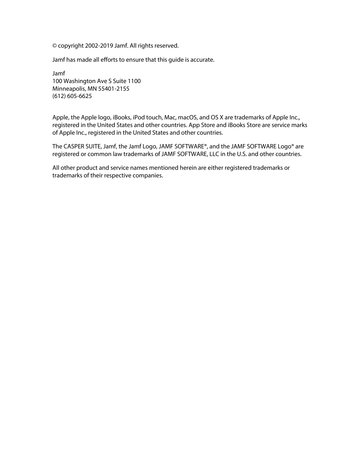© copyright 2002-2019 Jamf. All rights reserved.

Jamf has made all efforts to ensure that this guide is accurate.

Jamf 100 Washington Ave S Suite 1100 Minneapolis, MN 55401-2155 (612) 605-6625

Apple, the Apple logo, iBooks, iPod touch, Mac, macOS, and OS X are trademarks of Apple Inc., registered in the United States and other countries. App Store and iBooks Store are service marks of Apple Inc., registered in the United States and other countries.

The CASPER SUITE, Jamf, the Jamf Logo, JAMF SOFTWARE®, and the JAMF SOFTWARE Logo® are registered or common law trademarks of JAMF SOFTWARE, LLC in the U.S. and other countries.

All other product and service names mentioned herein are either registered trademarks or trademarks of their respective companies.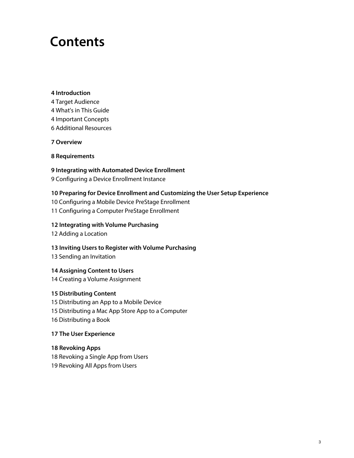## **Contents**

#### **[Introduction](#page-3-0)**

 [Target Audience](#page-3-1) [What's in This Guide](#page-3-2) [Important Concepts](#page-3-3) [Additional Resources](#page-5-0)

**[Overview](#page-6-0)**

**[Requirements](#page-7-0)**

#### **[Integrating with Automated Device Enrollment](#page-8-0)**

[Configuring a Device Enrollment Instance](#page-8-1)

#### **[Preparing for Device Enrollment and Customizing the User Setup Experience](#page-9-0)**

[Configuring a Mobile Device PreStage Enrollment](#page-9-1)

[Configuring a Computer PreStage Enrollment](#page-10-0)

#### **[Integrating with Volume Purchasing](#page-11-0)**

[Adding a Location](#page-11-1)

#### **[Inviting Users to Register with Volume Purchasing](#page-12-0)**

[Sending an Invitation](#page-12-1)

**[Assigning Content to Users](#page-13-0)**

[Creating a Volume Assignment](#page-13-1)

#### **[Distributing Content](#page-14-0)**

 [Distributing an App to a Mobile Device](#page-14-1) [Distributing a Mac App Store App to a Computer](#page-14-2) [Distributing a Book](#page-15-0)

#### **[The User Experience](#page-16-0)**

 **[Revoking Apps](#page-17-0)** [Revoking a Single App from Users](#page-17-1) [Revoking All Apps from Users](#page-18-0)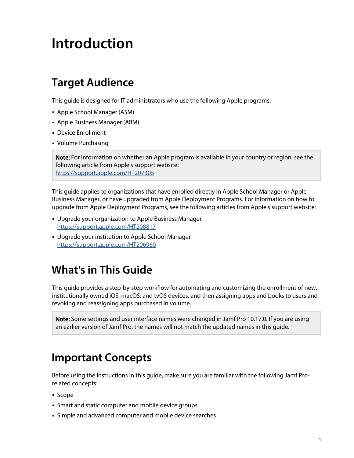# <span id="page-3-0"></span>**Introduction**

## <span id="page-3-1"></span>**Target Audience**

This guide is designed for IT administrators who use the following Apple programs:

- Apple School Manager (ASM)
- Apple Business Manager (ABM)
- Device Enrollment
- Volume Purchasing

Note: For information on whether an Apple program is available in your country or region, see the following article from Apple's support website: <https://support.apple.com/HT207305>

This guide applies to organizations that have enrolled directly in Apple School Manager or Apple Business Manager, or have upgraded from Apple Deployment Programs. For information on how to upgrade from Apple Deployment Programs, see the following articles from Apple's support website:

- Upgrade your organization to Apple Business Manager <https://support.apple.com/HT208817>
- Upgrade your institution to Apple School Manager <https://support.apple.com/HT206960>

### <span id="page-3-2"></span>**What's in This Guide**

This guide provides a step-by-step workflow for automating and customizing the enrollment of new, institutionally owned iOS, macOS, and tvOS devices, and then assigning apps and books to users and revoking and reassigning apps purchased in volume.

Note: Some settings and user interface names were changed in Jamf Pro 10.17.0. If you are using an earlier version of Jamf Pro, the names will not match the updated names in this guide.

#### <span id="page-3-3"></span>**Important Concepts**

Before using the instructions in this guide, make sure you are familiar with the following Jamf Prorelated concepts:

- **Scope**
- Smart and static computer and mobile device groups
- Simple and advanced computer and mobile device searches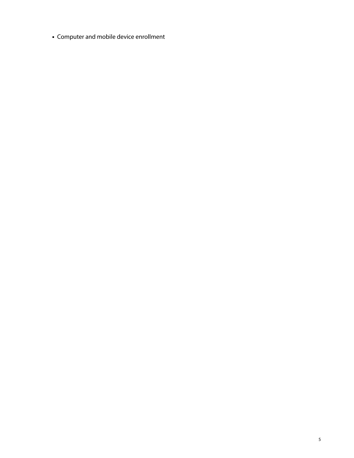Computer and mobile device enrollment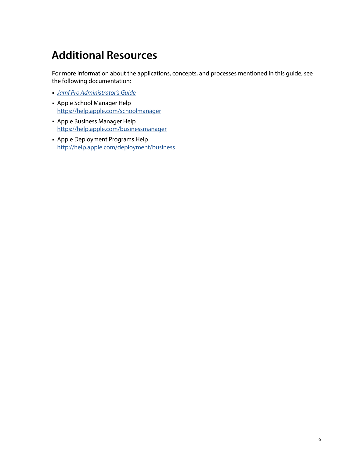## <span id="page-5-0"></span>**Additional Resources**

For more information about the applications, concepts, and processes mentioned in this guide, see the following documentation:

- *[Jamf Pro Administrator's Guide](http://docs.jamf.com/jamf-pro/administrator-guide/index.html)*
- Apple School Manager Help <https://help.apple.com/schoolmanager>
- Apple Business Manager Help <https://help.apple.com/businessmanager>
- Apple Deployment Programs Help <http://help.apple.com/deployment/business>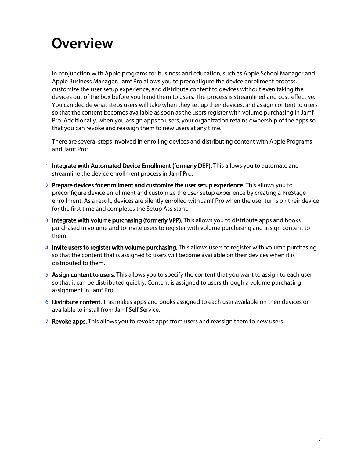## <span id="page-6-0"></span>**Overview**

In conjunction with Apple programs for business and education, such as Apple School Manager and Apple Business Manager, Jamf Pro allows you to preconfigure the device enrollment process, customize the user setup experience, and distribute content to devices without even taking the devices out of the box before you hand them to users. The process is streamlined and cost-effective. You can decide what steps users will take when they set up their devices, and assign content to users so that the content becomes available as soon as the users register with volume purchasing in Jamf Pro. Additionally, when you assign apps to users, your organization retains ownership of the apps so that you can revoke and reassign them to new users at any time.

There are several steps involved in enrolling devices and distributing content with Apple Programs and Jamf Pro:

- 1. Integrate with Automated Device Enrollment (formerly DEP). This allows you to automate and streamline the device enrollment process in Jamf Pro.
- 2. Prepare devices for enrollment and customize the user setup experience. This allows you to preconfigure device enrollment and customize the user setup experience by creating a PreStage enrollment. As a result, devices are silently enrolled with Jamf Pro when the user turns on their device for the first time and completes the Setup Assistant.
- 3. **Integrate with volume purchasing (formerly VPP).** This allows you to distribute apps and books purchased in volume and to invite users to register with volume purchasing and assign content to them.
- 4. Invite users to register with volume purchasing. This allows users to register with volume purchasing so that the content that is assigned to users will become available on their devices when it is distributed to them.
- 5. Assign content to users. This allows you to specify the content that you want to assign to each user so that it can be distributed quickly. Content is assigned to users through a volume purchasing assignment in Jamf Pro.
- 6. Distribute content. This makes apps and books assigned to each user available on their devices or available to install from Jamf Self Service.
- 7. **Revoke apps.** This allows you to revoke apps from users and reassign them to new users.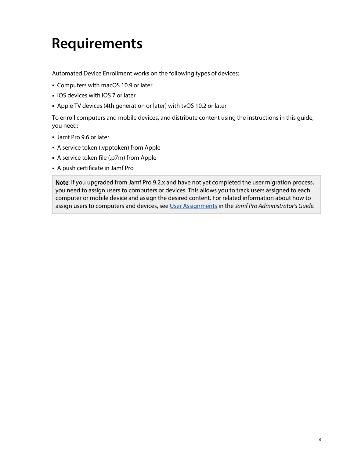## <span id="page-7-0"></span>**Requirements**

Automated Device Enrollment works on the following types of devices:

- Computers with macOS 10.9 or later
- iOS devices with iOS 7 or later
- Apple TV devices (4th generation or later) with tvOS 10.2 or later

To enroll computers and mobile devices, and distribute content using the instructions in this guide, you need:

- Jamf Pro 9.6 or later
- A service token (.vpptoken) from Apple
- A service token file (.p7m) from Apple
- A push certificate in Jamf Pro

Note: If you upgraded from Jamf Pro 9.2.x and have not yet completed the user migration process, you need to assign users to computers or devices. This allows you to track users assigned to each computer or mobile device and assign the desired content. For related information about how to assign users to computers and devices, see [User Assignments](http://docs.jamf.com/jamf-pro/administrator-guide/User_Assignments.html) in the *Jamf Pro Administrator's Guide.*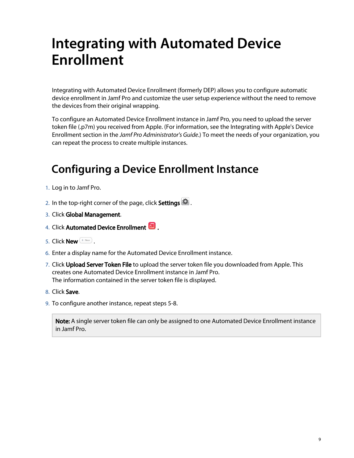# <span id="page-8-0"></span>**Integrating with Automated Device Enrollment**

Integrating with Automated Device Enrollment (formerly DEP) allows you to configure automatic device enrollment in Jamf Pro and customize the user setup experience without the need to remove the devices from their original wrapping.

To configure an Automated Device Enrollment instance in Jamf Pro, you need to upload the server token file (.p7m) you received from Apple. (For information, see the Integrating with Apple's Device Enrollment section in the *Jamf Pro Administrator's Guide*.) To meet the needs of your organization, you can repeat the process to create multiple instances.

### <span id="page-8-1"></span>**Configuring a Device Enrollment Instance**

- 1. Log in to Jamf Pro.
- 2. In the top-right corner of the page, click **Settings**  $\blacksquare$  .
- 3. Click Global Management.
- 4. Click **Automated Device Enrollment <b>L**.
- 5. Click **New**  $\overset{+}{\longleftarrow}$ .
- 6. Enter a display name for the Automated Device Enrollment instance.
- 7. Click **Upload Server Token File** to upload the server token file you downloaded from Apple. This creates one Automated Device Enrollment instance in Jamf Pro. The information contained in the server token file is displayed.
- 8. Click Save.
- 9. To configure another instance, repeat steps 5-8.

Note: A single server token file can only be assigned to one Automated Device Enrollment instance in Jamf Pro.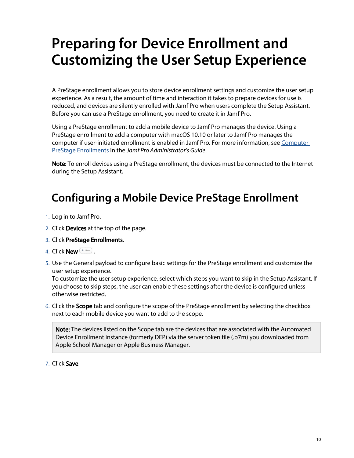# <span id="page-9-0"></span>**Preparing for Device Enrollment and Customizing the User Setup Experience**

A PreStage enrollment allows you to store device enrollment settings and customize the user setup experience. As a result, the amount of time and interaction it takes to prepare devices for use is reduced, and devices are silently enrolled with Jamf Pro when users complete the Setup Assistant. Before you can use a PreStage enrollment, you need to create it in Jamf Pro.

Using a PreStage enrollment to add a mobile device to Jamf Pro manages the device. Using a PreStage enrollment to add a computer with macOS 10.10 or later to Jamf Pro manages the computer if user-initiated enrollment is enabled in Jamf Pro. For more information, see Computer [PreStage Enrollments](http://docs.jamf.com/jamf-pro/administrator-guide/Computer_PreStage_Enrollments.html) in the *Jamf Pro Administrator's Guide*.

Note: To enroll devices using a PreStage enrollment, the devices must be connected to the Internet during the Setup Assistant.

## <span id="page-9-1"></span>**Configuring a Mobile Device PreStage Enrollment**

- 1. Log in to Jamf Pro.
- 2. Click **Devices** at the top of the page.
- 3. Click PreStage Enrollments.
- 4. Click **New**  $\overset{+}{\longleftarrow}$ .
- 5. Use the General payload to configure basic settings for the PreStage enrollment and customize the user setup experience.

To customize the user setup experience, select which steps you want to skip in the Setup Assistant. If you choose to skip steps, the user can enable these settings after the device is configured unless otherwise restricted.

6. Click the Scope tab and configure the scope of the PreStage enrollment by selecting the checkbox next to each mobile device you want to add to the scope.

Note: The devices listed on the Scope tab are the devices that are associated with the Automated Device Enrollment instance (formerly DEP) via the server token file (.p7m) you downloaded from Apple School Manager or Apple Business Manager.

7. Click Save.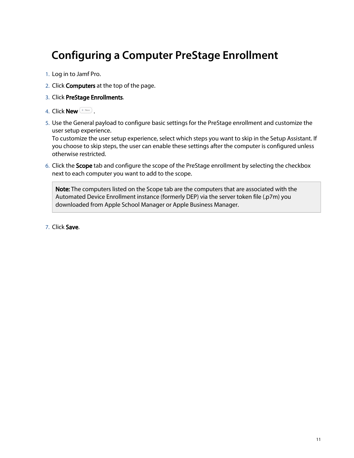## **Configuring a Computer PreStage Enrollment**

- <span id="page-10-0"></span>1. Log in to Jamf Pro.
- 2. Click **Computers** at the top of the page.
- 3. Click PreStage Enrollments.
- 4. Click **New**  $\overset{+}{\longleftarrow}$ .
- 5. Use the General payload to configure basic settings for the PreStage enrollment and customize the user setup experience.

To customize the user setup experience, select which steps you want to skip in the Setup Assistant. If you choose to skip steps, the user can enable these settings after the computer is configured unless otherwise restricted.

6. Click the Scope tab and configure the scope of the PreStage enrollment by selecting the checkbox next to each computer you want to add to the scope.

Note: The computers listed on the Scope tab are the computers that are associated with the Automated Device Enrollment instance (formerly DEP) via the server token file (.p7m) you downloaded from Apple School Manager or Apple Business Manager.

7. Click Save.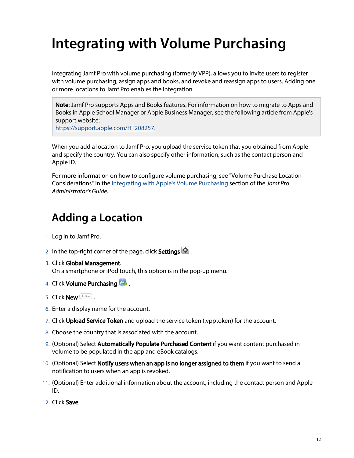# <span id="page-11-0"></span>**Integrating with Volume Purchasing**

Integrating Jamf Pro with volume purchasing (formerly VPP), allows you to invite users to register with volume purchasing, assign apps and books, and revoke and reassign apps to users. Adding one or more locations to Jamf Pro enables the integration.

Note: Jamf Pro supports Apps and Books features. For information on how to migrate to Apps and Books in Apple School Manager or Apple Business Manager, see the following article from Apple's support website:

[https://support.apple.com/HT208257.](https://support.apple.com/HT208257)

When you add a location to Jamf Pro, you upload the service token that you obtained from Apple and specify the country. You can also specify other information, such as the contact person and Apple ID.

For more information on how to configure volume purchasing, see "Volume Purchase Location Considerations" in the [Integrating with Apple's Volume Purchasing](https://docs.jamf.com/jamf-pro/administrator-guide/Integrating_with_Volume_Purchasing.html) section of the *Jamf Pro Administrator's Guide*.

## <span id="page-11-1"></span>**Adding a Location**

- 1. Log in to Jamf Pro.
- 2. In the top-right corner of the page, click **Settings 3**.
- 3. Click Global Management. On a smartphone or iPod touch, this option is in the pop-up menu.
- 4. Click **Volume Purchasing the.**
- 5. Click **New**  $\overset{+}{\longleftarrow}$ .
- 6. Enter a display name for the account.
- 7. Click **Upload Service Token** and upload the service token (.vpptoken) for the account.
- 8. Choose the country that is associated with the account.
- 9. (Optional) Select **Automatically Populate Purchased Content** if you want content purchased in volume to be populated in the app and eBook catalogs.
- 10. (Optional) Select **Notify users when an app is no longer assigned to them** if you want to send a notification to users when an app is revoked.
- 11. (Optional) Enter additional information about the account, including the contact person and Apple ID.
- 12. Click Save.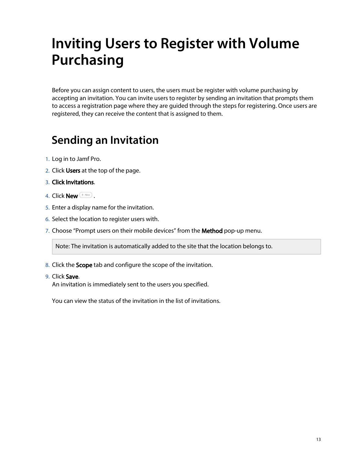# <span id="page-12-0"></span>**Inviting Users to Register with Volume Purchasing**

Before you can assign content to users, the users must be register with volume purchasing by accepting an invitation. You can invite users to register by sending an invitation that prompts them to access a registration page where they are guided through the steps for registering. Once users are registered, they can receive the content that is assigned to them.

## <span id="page-12-1"></span>**Sending an Invitation**

- 1. Log in to Jamf Pro.
- 2. Click Users at the top of the page.
- 3. Click Invitations.
- 4. Click **New**  $\overset{+}{\longleftarrow}$ .
- 5. Enter a display name for the invitation.
- 6. Select the location to register users with.
- 7. Choose "Prompt users on their mobile devices" from the **Method** pop-up menu.

Note: The invitation is automatically added to the site that the location belongs to.

- 8. Click the Scope tab and configure the scope of the invitation.
- 9. Click Save.

An invitation is immediately sent to the users you specified.

You can view the status of the invitation in the list of invitations.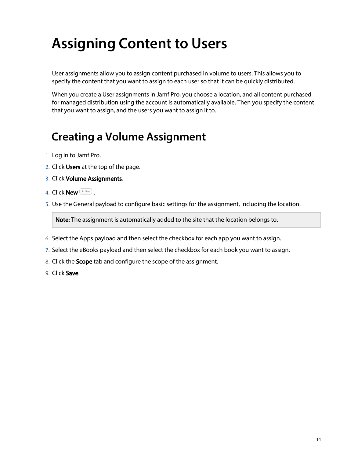# <span id="page-13-0"></span>**Assigning Content to Users**

User assignments allow you to assign content purchased in volume to users. This allows you to specify the content that you want to assign to each user so that it can be quickly distributed.

When you create a User assignments in Jamf Pro, you choose a location, and all content purchased for managed distribution using the account is automatically available. Then you specify the content that you want to assign, and the users you want to assign it to.

### <span id="page-13-1"></span>**Creating a Volume Assignment**

- 1. Log in to Jamf Pro.
- 2. Click Users at the top of the page.
- 3. Click Volume Assignments.
- 4. Click **New**  $\overset{+}{\longleftarrow}$ .
- 5. Use the General payload to configure basic settings for the assignment, including the location.

Note: The assignment is automatically added to the site that the location belongs to.

- 6. Select the Apps payload and then select the checkbox for each app you want to assign.
- 7. Select the eBooks payload and then select the checkbox for each book you want to assign.
- 8. Click the **Scope** tab and configure the scope of the assignment.
- 9. Click Save.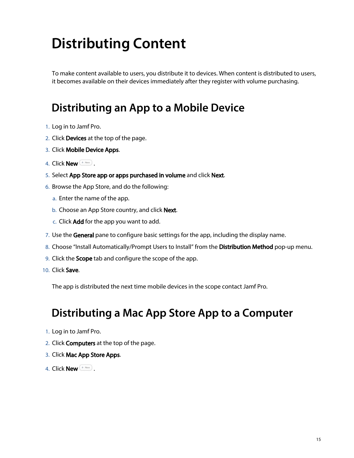# <span id="page-14-0"></span>**Distributing Content**

To make content available to users, you distribute it to devices. When content is distributed to users, it becomes available on their devices immediately after they register with volume purchasing.

### **Distributing an App to a Mobile Device**

- <span id="page-14-1"></span>1. Log in to Jamf Pro.
- 2. Click Devices at the top of the page.
- 3. Click Mobile Device Apps.
- 4. Click **New**  $\overset{+}{\longleftarrow}$ .
- 5. Select App Store app or apps purchased in volume and click Next.
- 6. Browse the App Store, and do the following:
	- a. Enter the name of the app.
	- b. Choose an App Store country, and click Next.
	- c. Click Add for the app you want to add.
- 7. Use the **General** pane to configure basic settings for the app, including the display name.
- 8. Choose "Install Automatically/Prompt Users to Install" from the **Distribution Method** pop-up menu.
- 9. Click the Scope tab and configure the scope of the app.
- 10. Click Save.

The app is distributed the next time mobile devices in the scope contact Jamf Pro.

### **Distributing a Mac App Store App to a Computer**

- <span id="page-14-2"></span>1. Log in to Jamf Pro.
- 2. Click **Computers** at the top of the page.
- 3. Click Mac App Store Apps.
- 4. Click **New**  $\overset{+}{\longleftarrow}$ .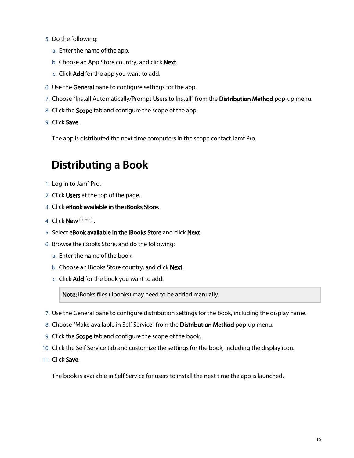- 5. Do the following:
	- a. Enter the name of the app.
	- b. Choose an App Store country, and click **Next**.
	- c. Click Add for the app you want to add.
- 6. Use the General pane to configure settings for the app.
- 7. Choose "Install Automatically/Prompt Users to Install" from the **Distribution Method** pop-up menu.
- 8. Click the **Scope** tab and configure the scope of the app.
- 9. Click Save.

The app is distributed the next time computers in the scope contact Jamf Pro.

#### **Distributing a Book**

- <span id="page-15-0"></span>1. Log in to Jamf Pro.
- 2. Click Users at the top of the page.
- 3. Click eBook available in the iBooks Store.
- 4. Click **New**  $\left( \begin{array}{c} + & \text{New} \\ & \text{New} \end{array} \right)$ .
- 5. Select eBook available in the iBooks Store and click Next.
- 6. Browse the iBooks Store, and do the following:
	- a. Enter the name of the book.
	- b. Choose an iBooks Store country, and click Next.
	- c. Click Add for the book you want to add.

Note: iBooks files (.ibooks) may need to be added manually.

- 7. Use the General pane to configure distribution settings for the book, including the display name.
- 8. Choose "Make available in Self Service" from the Distribution Method pop-up menu.
- 9. Click the Scope tab and configure the scope of the book.
- 10. Click the Self Service tab and customize the settings for the book, including the display icon.
- 11. Click Save.

The book is available in Self Service for users to install the next time the app is launched.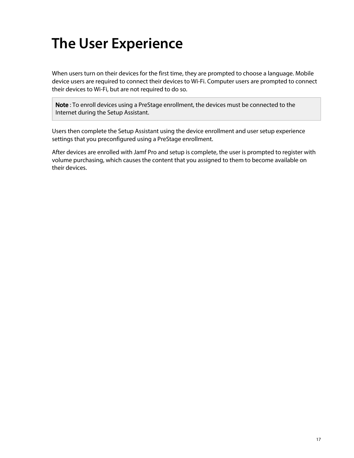# <span id="page-16-0"></span>**The User Experience**

When users turn on their devices for the first time, they are prompted to choose a language. Mobile device users are required to connect their devices to Wi-Fi. Computer users are prompted to connect their devices to Wi-Fi, but are not required to do so.

Note : To enroll devices using a PreStage enrollment, the devices must be connected to the Internet during the Setup Assistant.

Users then complete the Setup Assistant using the device enrollment and user setup experience settings that you preconfigured using a PreStage enrollment.

After devices are enrolled with Jamf Pro and setup is complete, the user is prompted to register with volume purchasing, which causes the content that you assigned to them to become available on their devices.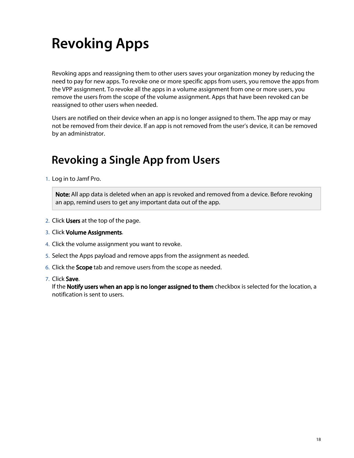# <span id="page-17-0"></span>**Revoking Apps**

Revoking apps and reassigning them to other users saves your organization money by reducing the need to pay for new apps. To revoke one or more specific apps from users, you remove the apps from the VPP assignment. To revoke all the apps in a volume assignment from one or more users, you remove the users from the scope of the volume assignment. Apps that have been revoked can be reassigned to other users when needed.

Users are notified on their device when an app is no longer assigned to them. The app may or may not be removed from their device. If an app is not removed from the user's device, it can be removed by an administrator.

### <span id="page-17-1"></span>**Revoking a Single App from Users**

1. Log in to Jamf Pro.

Note: All app data is deleted when an app is revoked and removed from a device. Before revoking an app, remind users to get any important data out of the app.

- 2. Click Users at the top of the page.
- 3. Click Volume Assignments.
- 4. Click the volume assignment you want to revoke.
- 5. Select the Apps payload and remove apps from the assignment as needed.
- 6. Click the Scope tab and remove users from the scope as needed.
- 7. Click Save.

If the **Notify users when an app is no longer assigned to them** checkbox is selected for the location, a notification is sent to users.